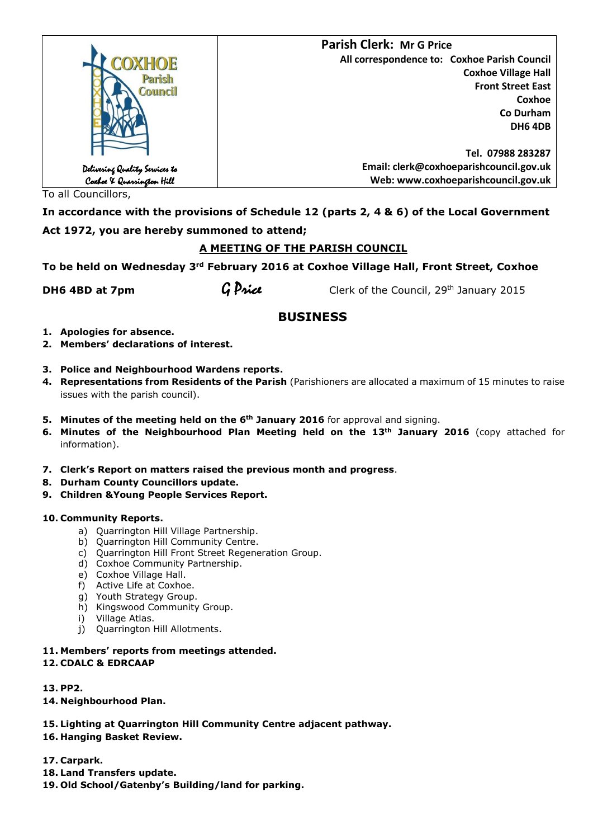|                                                             | <b>Parish Clerk: Mr G Price</b>              |
|-------------------------------------------------------------|----------------------------------------------|
| COXHOE                                                      | All correspondence to: Coxhoe Parish Council |
| Parish<br>Council                                           | <b>Coxhoe Village Hall</b>                   |
|                                                             | <b>Front Street East</b>                     |
|                                                             | Coxhoe                                       |
|                                                             | Co Durham                                    |
|                                                             | <b>DH6 4DB</b>                               |
|                                                             |                                              |
|                                                             | Tel. 07988 283287                            |
|                                                             | Email: clerk@coxhoeparishcouncil.gov.uk      |
| Delivering Quality Services to<br>Coxboe X Quarrington Hill | Web: www.coxhoeparishcouncil.gov.uk          |

To all Councillors,

**In accordance with the provisions of Schedule 12 (parts 2, 4 & 6) of the Local Government Act 1972, you are hereby summoned to attend;**

## **A MEETING OF THE PARISH COUNCIL**

**To be held on Wednesday 3rd February 2016 at Coxhoe Village Hall, Front Street, Coxhoe** 

**DH6 4BD at 7pm G Price** Clerk of the Council, 29<sup>th</sup> January 2015

# **BUSINESS**

- **1. Apologies for absence.**
- **2. Members' declarations of interest.**

## **3. Police and Neighbourhood Wardens reports.**

- **4. Representations from Residents of the Parish** (Parishioners are allocated a maximum of 15 minutes to raise issues with the parish council).
- **5. Minutes of the meeting held on the 6th January 2016** for approval and signing.
- **6. Minutes of the Neighbourhood Plan Meeting held on the 13th January 2016** (copy attached for information).
- **7. Clerk's Report on matters raised the previous month and progress**.
- **8. Durham County Councillors update.**
- **9. Children &Young People Services Report.**

## **10. Community Reports.**

- a) Quarrington Hill Village Partnership.
- b) Quarrington Hill Community Centre.
- c) Quarrington Hill Front Street Regeneration Group.
- d) Coxhoe Community Partnership.
- e) Coxhoe Village Hall.
- f) Active Life at Coxhoe.
- g) Youth Strategy Group.
- h) Kingswood Community Group.
- i) Village Atlas.
- j) Quarrington Hill Allotments.
- **11. Members' reports from meetings attended.**

## **12. CDALC & EDRCAAP**

**13. PP2.**

- **14. Neighbourhood Plan.**
- **15. Lighting at Quarrington Hill Community Centre adjacent pathway.**
- **16. Hanging Basket Review.**
- **17. Carpark.**
- **18. Land Transfers update.**
- **19. Old School/Gatenby's Building/land for parking.**